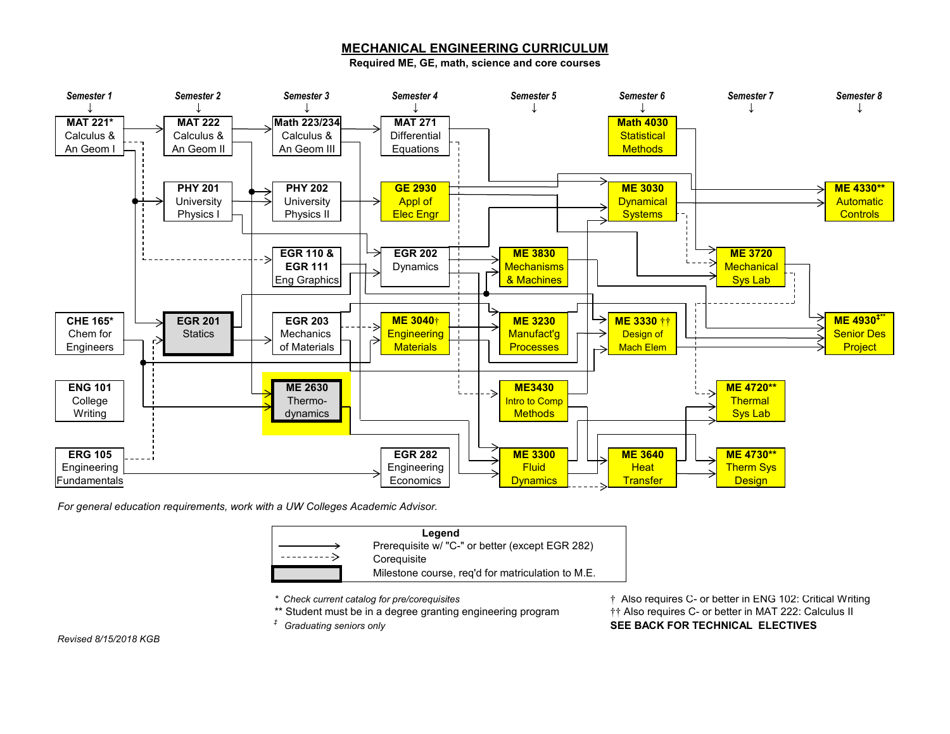## **MECHANICAL ENGINEERING CURRICULUM**

**Required ME, GE, math, science and core courses**



*For general education requirements, work with a UW Colleges Academic Advisor.*

| Legend |                                                   |
|--------|---------------------------------------------------|
|        | Prerequisite w/ "C-" or better (except EGR 282)   |
|        | Coreguisite                                       |
|        | Milestone course, reg'd for matriculation to M.E. |

*\* Check current catalog for pre/corequisites* † Also requires C- or better in ENG 102: Critical Writing \*\* Student must be in a degree granting engineering program  $\ddot{\dagger}$  Also requires C- or better in MAT 222: Calculus II *‡ Graduating seniors only* **SEE BACK FOR TECHNICAL ELECTIVES**

*Revised 8/15/2018 KGB*